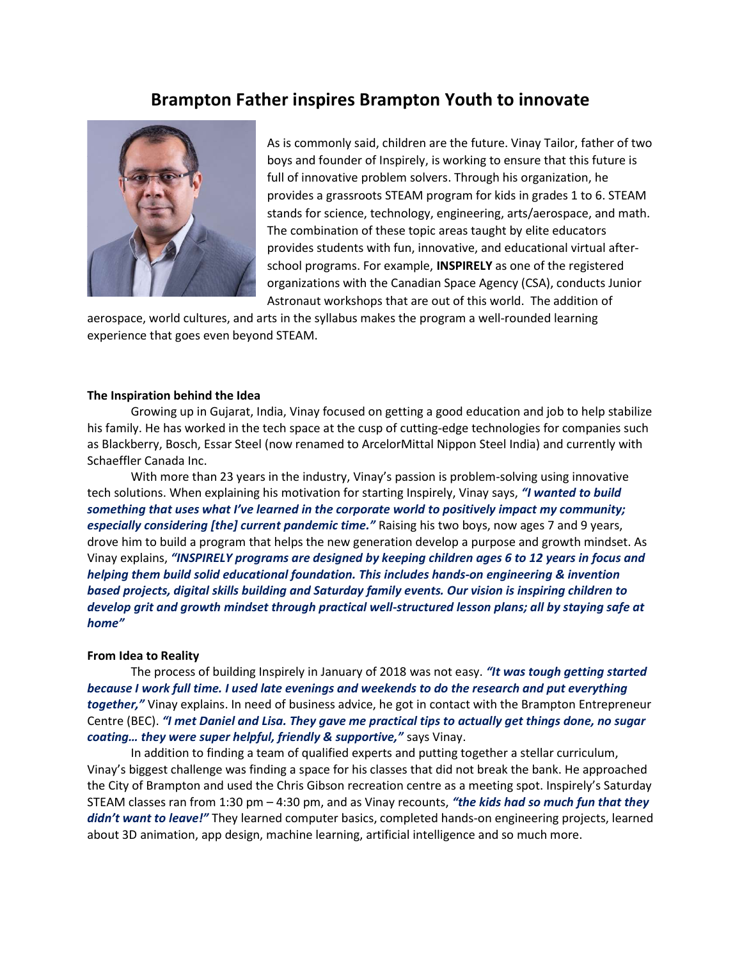# Brampton Father inspires Brampton Youth to innovate



As is commonly said, children are the future. Vinay Tailor, father of two boys and founder of Inspirely, is working to ensure that this future is full of innovative problem solvers. Through his organization, he provides a grassroots STEAM program for kids in grades 1 to 6. STEAM stands for science, technology, engineering, arts/aerospace, and math. The combination of these topic areas taught by elite educators provides students with fun, innovative, and educational virtual afterschool programs. For example, INSPIRELY as one of the registered organizations with the Canadian Space Agency (CSA), conducts Junior Astronaut workshops that are out of this world. The addition of

aerospace, world cultures, and arts in the syllabus makes the program a well-rounded learning experience that goes even beyond STEAM.

### The Inspiration behind the Idea

Growing up in Gujarat, India, Vinay focused on getting a good education and job to help stabilize his family. He has worked in the tech space at the cusp of cutting-edge technologies for companies such as Blackberry, Bosch, Essar Steel (now renamed to ArcelorMittal Nippon Steel India) and currently with Schaeffler Canada Inc.

With more than 23 years in the industry, Vinay's passion is problem-solving using innovative tech solutions. When explaining his motivation for starting Inspirely, Vinay says, "I wanted to build something that uses what I've learned in the corporate world to positively impact my community; especially considering [the] current pandemic time." Raising his two boys, now ages 7 and 9 years, drove him to build a program that helps the new generation develop a purpose and growth mindset. As Vinay explains, "INSPIRELY programs are designed by keeping children ages 6 to 12 years in focus and helping them build solid educational foundation. This includes hands-on engineering & invention based projects, digital skills building and Saturday family events. Our vision is inspiring children to develop grit and growth mindset through practical well-structured lesson plans; all by staying safe at home"

## From Idea to Reality

The process of building Inspirely in January of 2018 was not easy. "It was tough getting started because I work full time. I used late evenings and weekends to do the research and put everything together," Vinay explains. In need of business advice, he got in contact with the Brampton Entrepreneur Centre (BEC). "I met Daniel and Lisa. They gave me practical tips to actually get things done, no sugar coating... they were super helpful, friendly & supportive," says Vinay.

In addition to finding a team of qualified experts and putting together a stellar curriculum, Vinay's biggest challenge was finding a space for his classes that did not break the bank. He approached the City of Brampton and used the Chris Gibson recreation centre as a meeting spot. Inspirely's Saturday STEAM classes ran from 1:30 pm  $-$  4:30 pm, and as Vinay recounts, "the kids had so much fun that they didn't want to leave!" They learned computer basics, completed hands-on engineering projects, learned about 3D animation, app design, machine learning, artificial intelligence and so much more.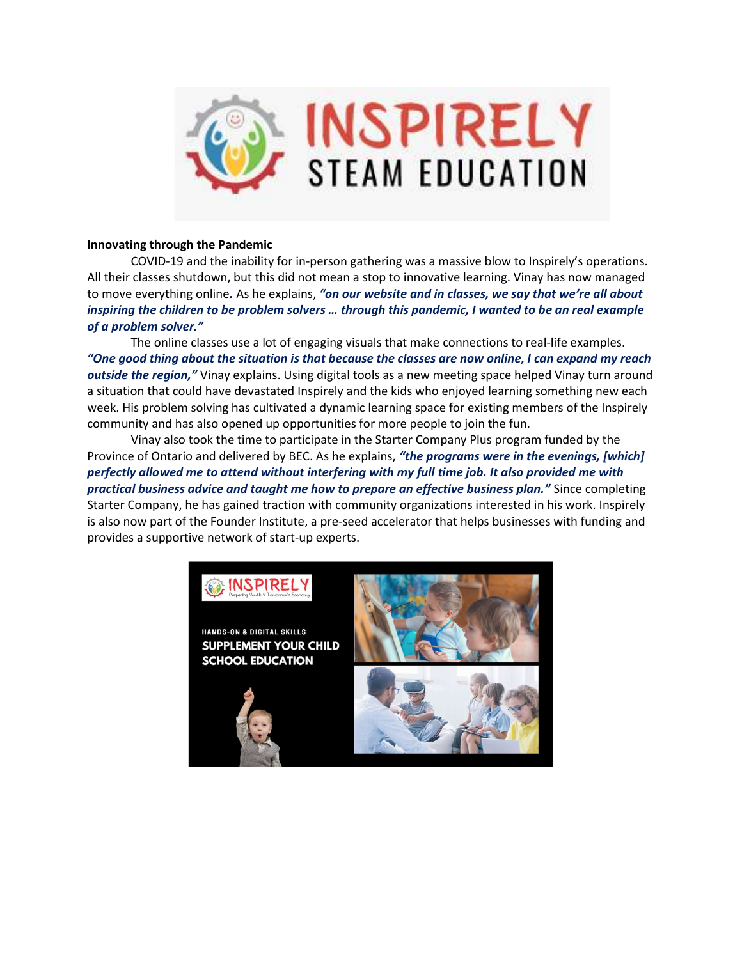

# Innovating through the Pandemic

COVID-19 and the inability for in-person gathering was a massive blow to Inspirely's operations. All their classes shutdown, but this did not mean a stop to innovative learning. Vinay has now managed to move everything online. As he explains, "on our website and in classes, we say that we're all about inspiring the children to be problem solvers … through this pandemic, I wanted to be an real example of a problem solver."

The online classes use a lot of engaging visuals that make connections to real-life examples. "One good thing about the situation is that because the classes are now online, I can expand my reach outside the region," Vinay explains. Using digital tools as a new meeting space helped Vinay turn around a situation that could have devastated Inspirely and the kids who enjoyed learning something new each week. His problem solving has cultivated a dynamic learning space for existing members of the Inspirely community and has also opened up opportunities for more people to join the fun.

 Vinay also took the time to participate in the Starter Company Plus program funded by the Province of Ontario and delivered by BEC. As he explains, "the programs were in the evenings, [which] perfectly allowed me to attend without interfering with my full time job. It also provided me with practical business advice and taught me how to prepare an effective business plan." Since completing Starter Company, he has gained traction with community organizations interested in his work. Inspirely is also now part of the Founder Institute, a pre-seed accelerator that helps businesses with funding and provides a supportive network of start-up experts.